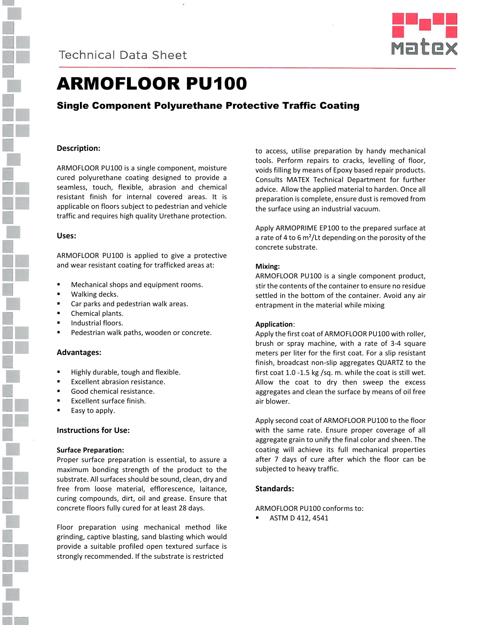



# ARMOFLOOR PU100

# Single Component Polyurethane Protective Traffic Coating

## **Description:**

ARMOFLOOR PU100 is a single component, moisture cured polyurethane coating designed to provide a seamless, touch, flexible, abrasion and chemical resistant finish for internal covered areas. It is applicable on floors subject to pedestrian and vehicle traffic and requires high quality Urethane protection.

### **Uses:**

ARMOFLOOR PU100 is applied to give a protective and wear resistant coating for trafficked areas at:

- Mechanical shops and equipment rooms.
- Walking decks.
- **EXEC** Car parks and pedestrian walk areas.
- Chemical plants.
- **Industrial floors.**
- Pedestrian walk paths, wooden or concrete.

#### **Advantages:**

- Highly durable, tough and flexible.
- Excellent abrasion resistance.
- Good chemical resistance.
- Excellent surface finish.
- Easy to apply.

## **Instructions for Use:**

#### **Surface Preparation:**

Proper surface preparation is essential, to assure a maximum bonding strength of the product to the substrate. All surfaces should be sound, clean, dry and free from loose material, efflorescence, laitance, curing compounds, dirt, oil and grease. Ensure that concrete floors fully cured for at least 28 days.

Floor preparation using mechanical method like grinding, captive blasting, sand blasting which would provide a suitable profiled open textured surface is strongly recommended. If the substrate is restricted

to access, utilise preparation by handy mechanical tools. Perform repairs to cracks, levelling of floor, voids filling by means of Epoxy based repair products. Consults MATEX Technical Department for further advice. Allow the applied material to harden. Once all preparation is complete, ensure dust is removed from the surface using an industrial vacuum.

Apply ARMOPRIME EP100 to the prepared surface at a rate of 4 to 6 m²/Lt depending on the porosity of the concrete substrate.

### **Mixing:**

ARMOFLOOR PU100 is a single component product, stir the contents of the container to ensure no residue settled in the bottom of the container. Avoid any air entrapment in the material while mixing

## **Application**:

Apply the first coat of ARMOFLOOR PU100 with roller, brush or spray machine, with a rate of 3-4 square meters per liter for the first coat. For a slip resistant finish, broadcast non-slip aggregates QUARTZ to the first coat 1.0 -1.5 kg /sq. m. while the coat is still wet. Allow the coat to dry then sweep the excess aggregates and clean the surface by means of oil free air blower.

Apply second coat of ARMOFLOOR PU100 to the floor with the same rate. Ensure proper coverage of all aggregate grain to unify the final color and sheen. The coating will achieve its full mechanical properties after 7 days of cure after which the floor can be subjected to heavy traffic.

## **Standards:**

# ARMOFLOOR PU100 conforms to:

ASTM D 412, 4541